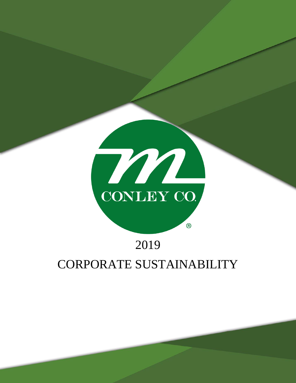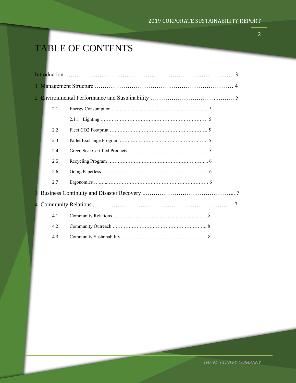# TABLE OF CONTENTS

|  | 2.1 |  |  |  |
|--|-----|--|--|--|
|  |     |  |  |  |
|  | 2.2 |  |  |  |
|  | 2.3 |  |  |  |
|  | 2.4 |  |  |  |
|  | 2.5 |  |  |  |
|  | 2.6 |  |  |  |
|  | 2.7 |  |  |  |
|  |     |  |  |  |
|  |     |  |  |  |
|  | 4.1 |  |  |  |
|  | 4.2 |  |  |  |
|  | 4.3 |  |  |  |

2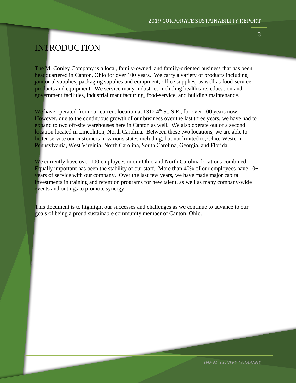### INTRODUCTION

The M. Conley Company is a local, family-owned, and family-oriented business that has been headquartered in Canton, Ohio for over 100 years. We carry a variety of products including janitorial supplies, packaging supplies and equipment, office supplies, as well as food-service products and equipment. We service many industries including healthcare, education and government facilities, industrial manufacturing, food-service, and building maintenance.

We have operated from our current location at  $1312\,4^{\text{th}}$  St. S.E., for over 100 years now. However, due to the continuous growth of our business over the last three years, we have had to expand to two off-site warehouses here in Canton as well. We also operate out of a second location located in Lincolnton, North Carolina. Between these two locations, we are able to better service our customers in various states including, but not limited to, Ohio, Western Pennsylvania, West Virginia, North Carolina, South Carolina, Georgia, and Florida.

We currently have over 100 employees in our Ohio and North Carolina locations combined. Equally important has been the stability of our staff. More than 40% of our employees have  $10+$ years of service with our company. Over the last few years, we have made major capital investments in training and retention programs for new talent, as well as many company-wide events and outings to promote synergy.

This document is to highlight our successes and challenges as we continue to advance to our goals of being a proud sustainable community member of Canton, Ohio.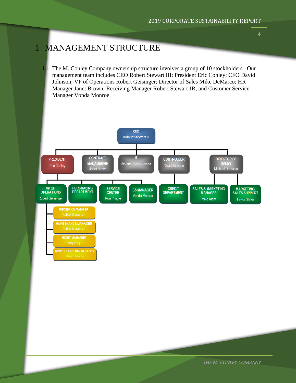## 1 MANAGEMENT STRUCTURE

1.1 The M. Conley Company ownership structure involves a group of 10 stockholders. Our management team includes CEO Robert Stewart III; President Eric Conley; CFO David Johnson; VP of Operations Robert Geisinger; Director of Sales Mike DeMarco; HR Manager Janet Brown; Receiving Manager Robert Stewart JR; and Customer Service Manager Vonda Monroe.



4

*THE M. CONLEY COMPANY*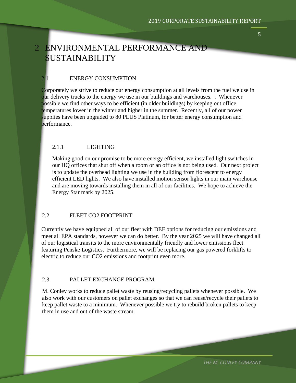#### 5

# 2 ENVIRONMENTAL PERFORMANCE AND SUSTAINABILITY

#### 2.1 ENERGY CONSUMPTION

Corporately we strive to reduce our energy consumption at all levels from the fuel we use in our delivery trucks to the energy we use in our buildings and warehouses. . Whenever possible we find other ways to be efficient (in older buildings) by keeping out office temperatures lower in the winter and higher in the summer. Recently, all of our power supplies have been upgraded to 80 PLUS Platinum, for better energy consumption and performance.

#### 2.1.1 LIGHTING

Making good on our promise to be more energy efficient, we installed light switches in our HQ offices that shut off when a room or an office is not being used. Our next project is to update the overhead lighting we use in the building from florescent to energy efficient LED lights. We also have installed motion sensor lights in our main warehouse and are moving towards installing them in all of our facilities. We hope to achieve the Energy Star mark by 2025.

#### 2.2 FLEET CO2 FOOTPRINT

Currently we have equipped all of our fleet with DEF options for reducing our emissions and meet all EPA standards, however we can do better. By the year 2025 we will have changed all of our logistical transits to the more environmentally friendly and lower emissions fleet featuring Penske Logistics. Furthermore, we will be replacing our gas powered forklifts to electric to reduce our CO2 emissions and footprint even more.

#### 2.3 PALLET EXCHANGE PROGRAM

M. Conley works to reduce pallet waste by reusing/recycling pallets whenever possible. We also work with our customers on pallet exchanges so that we can reuse/recycle their pallets to keep pallet waste to a minimum. Whenever possible we try to rebuild broken pallets to keep them in use and out of the waste stream.

*THE M. CONLEY COMPANY*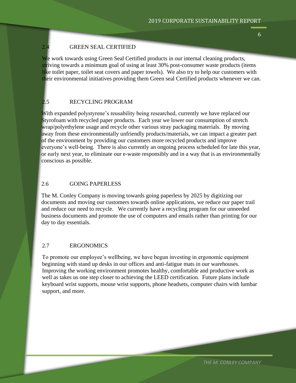#### 2.4 GREEN SEAL CERTIFIED

We work towards using Green Seal Certified products in our internal cleaning products, striving towards a minimum goal of using at least 30% post-consumer waste products (items like toilet paper, toilet seat covers and paper towels). We also try to help our customers with their environmental initiatives providing them Green seal Certified products whenever we can.

#### 2.5 RECYCLING PROGRAM

With expanded polystyrene's reusability being researched, currently we have replaced our Styrofoam with recycled paper products. Each year we lower our consumption of stretch wrap/polyethylene usage and recycle other various stray packaging materials. By moving away from these environmentally unfriendly products/materials, we can impact a greater part of the environment by providing our customers more recycled products and improve everyone's well-being. There is also currently an ongoing process scheduled for late this year, or early next year, to eliminate our e-waste responsibly and in a way that is as environmentally conscious as possible.

#### 2.6 GOING PAPERLESS

The M. Conley Company is moving towards going paperless by 2025 by digitizing our documents and moving our customers towards online applications, we reduce our paper trail and reduce our need to recycle. We currently have a recycling program for our unneeded business documents and promote the use of computers and emails rather than printing for our day to day essentials.

#### 2.7 ERGONOMICS

To promote our employee's wellbeing, we have begun investing in ergonomic equipment beginning with stand up desks in our offices and anti-fatigue mats in our warehouses. Improving the working environment promotes healthy, comfortable and productive work as well as takes us one step closer to achieving the LEED certification. Future plans include keyboard wrist supports, mouse wrist supports, phone headsets, computer chairs with lumbar support, and more.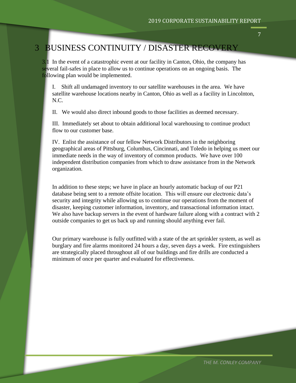### 3 BUSINESS CONTINUITY / DISASTER RECOVERY

3.1 In the event of a catastrophic event at our facility in Canton, Ohio, the company has several fail-safes in place to allow us to continue operations on an ongoing basis. The following plan would be implemented.

I. Shift all undamaged inventory to our satellite warehouses in the area. We have satellite warehouse locations nearby in Canton, Ohio as well as a facility in Lincolnton, N.C.

II. We would also direct inbound goods to those facilities as deemed necessary.

III. Immediately set about to obtain additional local warehousing to continue product flow to our customer base.

IV. Enlist the assistance of our fellow Network Distributors in the neighboring geographical areas of Pittsburg, Columbus, Cincinnati, and Toledo in helping us meet our immediate needs in the way of inventory of common products. We have over 100 independent distribution companies from which to draw assistance from in the Network organization.

In addition to these steps; we have in place an hourly automatic backup of our P21 database being sent to a remote offsite location. This will ensure our electronic data's security and integrity while allowing us to continue our operations from the moment of disaster, keeping customer information, inventory, and transactional information intact. We also have backup servers in the event of hardware failure along with a contract with 2 outside companies to get us back up and running should anything ever fail.

Our primary warehouse is fully outfitted with a state of the art sprinkler system, as well as burglary and fire alarms monitored 24 hours a day, seven days a week. Fire extinguishers are strategically placed throughout all of our buildings and fire drills are conducted a minimum of once per quarter and evaluated for effectiveness.